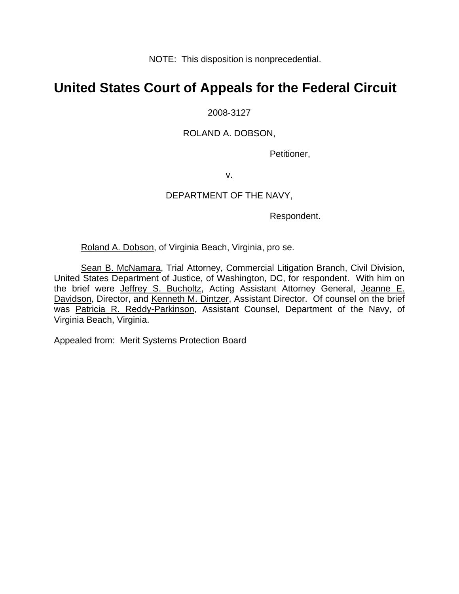NOTE: This disposition is nonprecedential.

# **United States Court of Appeals for the Federal Circuit**

# 2008-3127

# ROLAND A. DOBSON,

Petitioner,

v.

# DEPARTMENT OF THE NAVY,

Respondent.

Roland A. Dobson, of Virginia Beach, Virginia, pro se.

Sean B. McNamara, Trial Attorney, Commercial Litigation Branch, Civil Division, United States Department of Justice, of Washington, DC, for respondent. With him on the brief were *Jeffrey S. Bucholtz*, Acting Assistant Attorney General, *Jeanne E.* Davidson, Director, and Kenneth M. Dintzer, Assistant Director. Of counsel on the brief was Patricia R. Reddy-Parkinson, Assistant Counsel, Department of the Navy, of Virginia Beach, Virginia.

Appealed from: Merit Systems Protection Board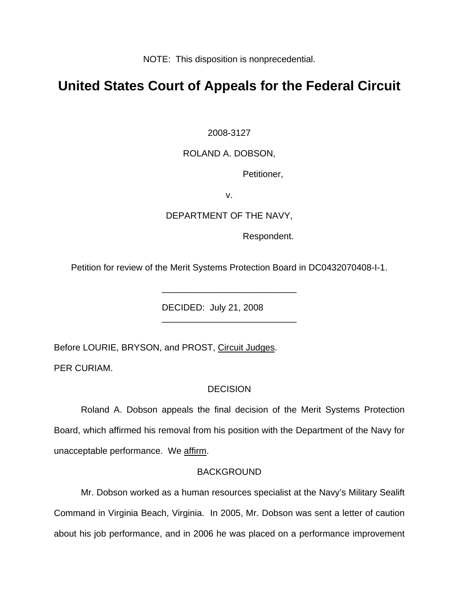NOTE: This disposition is nonprecedential.

# **United States Court of Appeals for the Federal Circuit**

2008-3127

#### ROLAND A. DOBSON,

Petitioner,

v.

# DEPARTMENT OF THE NAVY,

Respondent.

Petition for review of the Merit Systems Protection Board in DC0432070408-I-1.

\_\_\_\_\_\_\_\_\_\_\_\_\_\_\_\_\_\_\_\_\_\_\_\_\_\_\_

\_\_\_\_\_\_\_\_\_\_\_\_\_\_\_\_\_\_\_\_\_\_\_\_\_\_\_

DECIDED: July 21, 2008

Before LOURIE, BRYSON, and PROST, Circuit Judges.

PER CURIAM.

#### **DECISION**

Roland A. Dobson appeals the final decision of the Merit Systems Protection Board, which affirmed his removal from his position with the Department of the Navy for unacceptable performance. We affirm.

#### **BACKGROUND**

Mr. Dobson worked as a human resources specialist at the Navy's Military Sealift Command in Virginia Beach, Virginia. In 2005, Mr. Dobson was sent a letter of caution about his job performance, and in 2006 he was placed on a performance improvement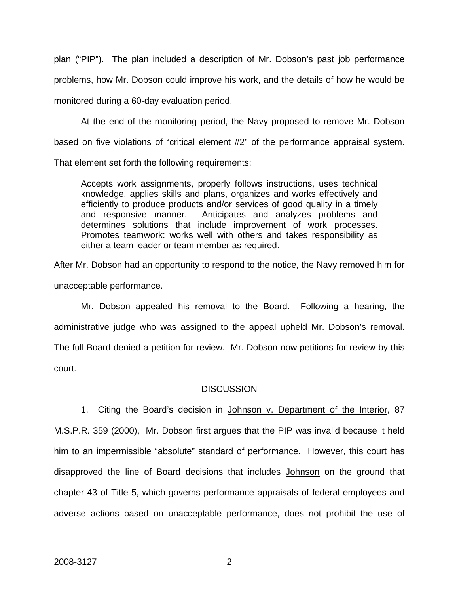plan ("PIP"). The plan included a description of Mr. Dobson's past job performance problems, how Mr. Dobson could improve his work, and the details of how he would be monitored during a 60-day evaluation period.

At the end of the monitoring period, the Navy proposed to remove Mr. Dobson based on five violations of "critical element #2" of the performance appraisal system.

That element set forth the following requirements:

Accepts work assignments, properly follows instructions, uses technical knowledge, applies skills and plans, organizes and works effectively and efficiently to produce products and/or services of good quality in a timely and responsive manner. Anticipates and analyzes problems and determines solutions that include improvement of work processes. Promotes teamwork: works well with others and takes responsibility as either a team leader or team member as required.

After Mr. Dobson had an opportunity to respond to the notice, the Navy removed him for unacceptable performance.

Mr. Dobson appealed his removal to the Board. Following a hearing, the administrative judge who was assigned to the appeal upheld Mr. Dobson's removal. The full Board denied a petition for review. Mr. Dobson now petitions for review by this court.

# **DISCUSSION**

1. Citing the Board's decision in Johnson v. Department of the Interior, 87 M.S.P.R. 359 (2000), Mr. Dobson first argues that the PIP was invalid because it held him to an impermissible "absolute" standard of performance. However, this court has disapproved the line of Board decisions that includes Johnson on the ground that chapter 43 of Title 5, which governs performance appraisals of federal employees and adverse actions based on unacceptable performance, does not prohibit the use of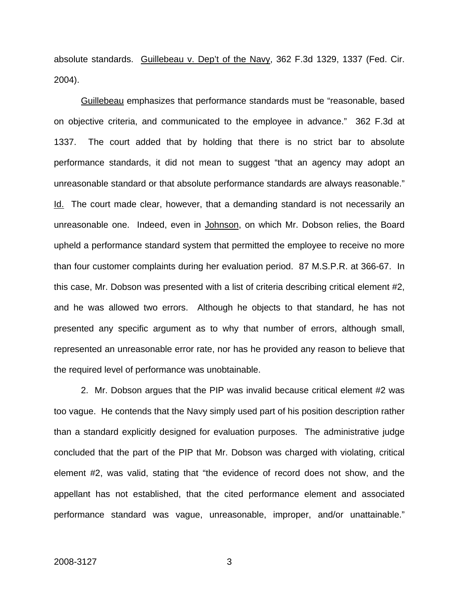absolute standards. Guillebeau v. Dep't of the Navy, 362 F.3d 1329, 1337 (Fed. Cir. 2004).

Guillebeau emphasizes that performance standards must be "reasonable, based on objective criteria, and communicated to the employee in advance." 362 F.3d at 1337. The court added that by holding that there is no strict bar to absolute performance standards, it did not mean to suggest "that an agency may adopt an unreasonable standard or that absolute performance standards are always reasonable." Id.The court made clear, however, that a demanding standard is not necessarily an unreasonable one. Indeed, even in Johnson, on which Mr. Dobson relies, the Board upheld a performance standard system that permitted the employee to receive no more than four customer complaints during her evaluation period. 87 M.S.P.R. at 366-67. In this case, Mr. Dobson was presented with a list of criteria describing critical element #2, and he was allowed two errors. Although he objects to that standard, he has not presented any specific argument as to why that number of errors, although small, represented an unreasonable error rate, nor has he provided any reason to believe that the required level of performance was unobtainable.

2. Mr. Dobson argues that the PIP was invalid because critical element #2 was too vague. He contends that the Navy simply used part of his position description rather than a standard explicitly designed for evaluation purposes. The administrative judge concluded that the part of the PIP that Mr. Dobson was charged with violating, critical element #2, was valid, stating that "the evidence of record does not show, and the appellant has not established, that the cited performance element and associated performance standard was vague, unreasonable, improper, and/or unattainable."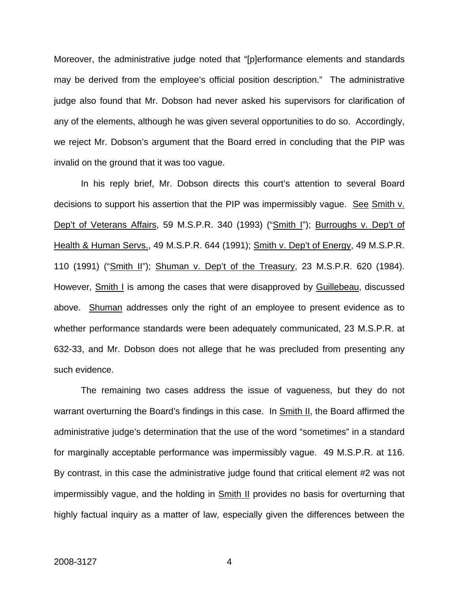Moreover, the administrative judge noted that "[p]erformance elements and standards may be derived from the employee's official position description." The administrative judge also found that Mr. Dobson had never asked his supervisors for clarification of any of the elements, although he was given several opportunities to do so. Accordingly, we reject Mr. Dobson's argument that the Board erred in concluding that the PIP was invalid on the ground that it was too vague.

In his reply brief, Mr. Dobson directs this court's attention to several Board decisions to support his assertion that the PIP was impermissibly vague. See Smith v. Dep't of Veterans Affairs, 59 M.S.P.R. 340 (1993) ("Smith I"); Burroughs v. Dep't of Health & Human Servs., 49 M.S.P.R. 644 (1991); Smith v. Dep't of Energy, 49 M.S.P.R. 110 (1991) ("Smith II"); Shuman v. Dep't of the Treasury, 23 M.S.P.R. 620 (1984). However, Smith I is among the cases that were disapproved by Guillebeau, discussed above. Shuman addresses only the right of an employee to present evidence as to whether performance standards were been adequately communicated, 23 M.S.P.R. at 632-33, and Mr. Dobson does not allege that he was precluded from presenting any such evidence.

The remaining two cases address the issue of vagueness, but they do not warrant overturning the Board's findings in this case. In Smith II, the Board affirmed the administrative judge's determination that the use of the word "sometimes" in a standard for marginally acceptable performance was impermissibly vague. 49 M.S.P.R. at 116. By contrast, in this case the administrative judge found that critical element #2 was not impermissibly vague, and the holding in **Smith II** provides no basis for overturning that highly factual inquiry as a matter of law, especially given the differences between the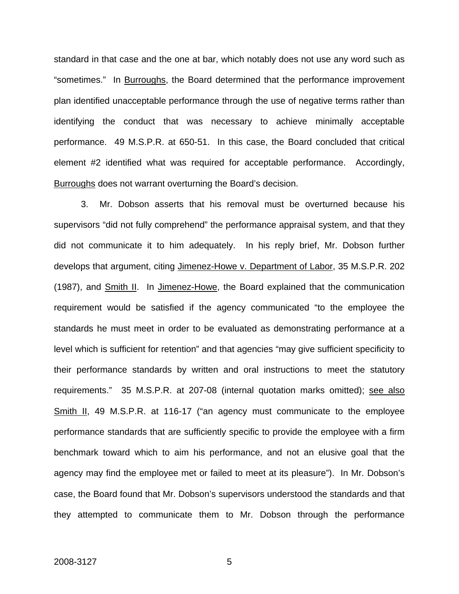standard in that case and the one at bar, which notably does not use any word such as "sometimes." In Burroughs, the Board determined that the performance improvement plan identified unacceptable performance through the use of negative terms rather than identifying the conduct that was necessary to achieve minimally acceptable performance. 49 M.S.P.R. at 650-51. In this case, the Board concluded that critical element #2 identified what was required for acceptable performance. Accordingly, Burroughs does not warrant overturning the Board's decision.

3. Mr. Dobson asserts that his removal must be overturned because his supervisors "did not fully comprehend" the performance appraisal system, and that they did not communicate it to him adequately. In his reply brief, Mr. Dobson further develops that argument, citing Jimenez-Howe v. Department of Labor, 35 M.S.P.R. 202 (1987), and Smith II. In Jimenez-Howe, the Board explained that the communication requirement would be satisfied if the agency communicated "to the employee the standards he must meet in order to be evaluated as demonstrating performance at a level which is sufficient for retention" and that agencies "may give sufficient specificity to their performance standards by written and oral instructions to meet the statutory requirements." 35 M.S.P.R. at 207-08 (internal quotation marks omitted); see also Smith II, 49 M.S.P.R. at 116-17 ("an agency must communicate to the employee performance standards that are sufficiently specific to provide the employee with a firm benchmark toward which to aim his performance, and not an elusive goal that the agency may find the employee met or failed to meet at its pleasure"). In Mr. Dobson's case, the Board found that Mr. Dobson's supervisors understood the standards and that they attempted to communicate them to Mr. Dobson through the performance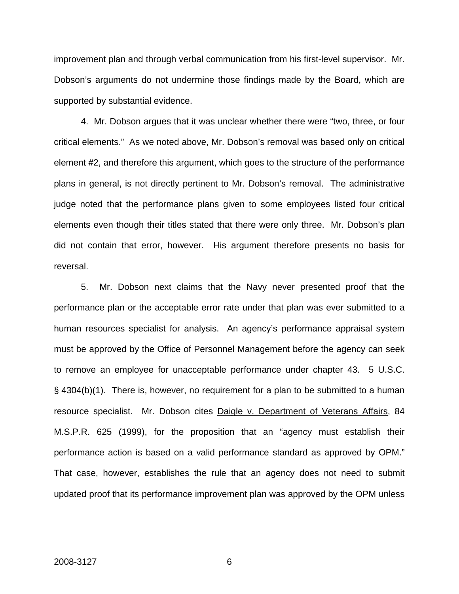improvement plan and through verbal communication from his first-level supervisor. Mr. Dobson's arguments do not undermine those findings made by the Board, which are supported by substantial evidence.

4. Mr. Dobson argues that it was unclear whether there were "two, three, or four critical elements." As we noted above, Mr. Dobson's removal was based only on critical element #2, and therefore this argument, which goes to the structure of the performance plans in general, is not directly pertinent to Mr. Dobson's removal. The administrative judge noted that the performance plans given to some employees listed four critical elements even though their titles stated that there were only three. Mr. Dobson's plan did not contain that error, however. His argument therefore presents no basis for reversal.

5. Mr. Dobson next claims that the Navy never presented proof that the performance plan or the acceptable error rate under that plan was ever submitted to a human resources specialist for analysis. An agency's performance appraisal system must be approved by the Office of Personnel Management before the agency can seek to remove an employee for unacceptable performance under chapter 43. 5 U.S.C. § 4304(b)(1). There is, however, no requirement for a plan to be submitted to a human resource specialist. Mr. Dobson cites Daigle v. Department of Veterans Affairs, 84 M.S.P.R. 625 (1999), for the proposition that an "agency must establish their performance action is based on a valid performance standard as approved by OPM." That case, however, establishes the rule that an agency does not need to submit updated proof that its performance improvement plan was approved by the OPM unless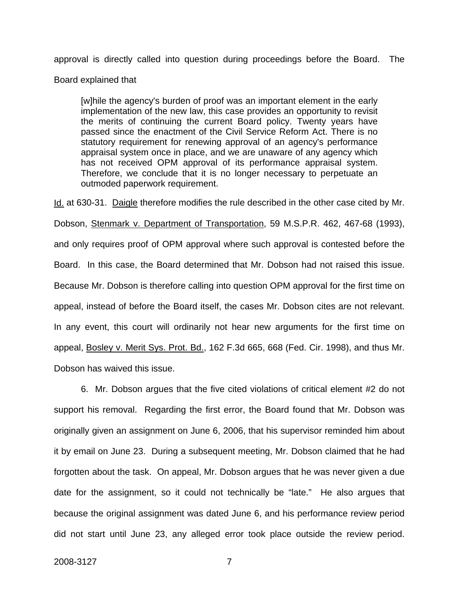approval is directly called into question during proceedings before the Board. The

Board explained that

[w]hile the agency's burden of proof was an important element in the early implementation of the new law, this case provides an opportunity to revisit the merits of continuing the current Board policy. Twenty years have passed since the enactment of the Civil Service Reform Act. There is no statutory requirement for renewing approval of an agency's performance appraisal system once in place, and we are unaware of any agency which has not received OPM approval of its performance appraisal system. Therefore, we conclude that it is no longer necessary to perpetuate an outmoded paperwork requirement.

Id. at 630-31. Daigle therefore modifies the rule described in the other case cited by Mr. Dobson, Stenmark v. Department of Transportation, 59 M.S.P.R. 462, 467-68 (1993), and only requires proof of OPM approval where such approval is contested before the Board. In this case, the Board determined that Mr. Dobson had not raised this issue. Because Mr. Dobson is therefore calling into question OPM approval for the first time on appeal, instead of before the Board itself, the cases Mr. Dobson cites are not relevant. In any event, this court will ordinarily not hear new arguments for the first time on appeal, Bosley v. Merit Sys. Prot. Bd., 162 F.3d 665, 668 (Fed. Cir. 1998), and thus Mr. Dobson has waived this issue.

6. Mr. Dobson argues that the five cited violations of critical element #2 do not support his removal. Regarding the first error, the Board found that Mr. Dobson was originally given an assignment on June 6, 2006, that his supervisor reminded him about it by email on June 23. During a subsequent meeting, Mr. Dobson claimed that he had forgotten about the task. On appeal, Mr. Dobson argues that he was never given a due date for the assignment, so it could not technically be "late." He also argues that because the original assignment was dated June 6, and his performance review period did not start until June 23, any alleged error took place outside the review period.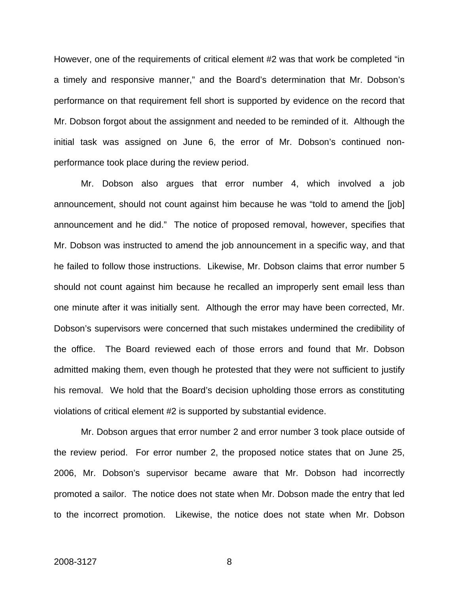However, one of the requirements of critical element #2 was that work be completed "in a timely and responsive manner," and the Board's determination that Mr. Dobson's performance on that requirement fell short is supported by evidence on the record that Mr. Dobson forgot about the assignment and needed to be reminded of it. Although the initial task was assigned on June 6, the error of Mr. Dobson's continued nonperformance took place during the review period.

Mr. Dobson also argues that error number 4, which involved a job announcement, should not count against him because he was "told to amend the [job] announcement and he did." The notice of proposed removal, however, specifies that Mr. Dobson was instructed to amend the job announcement in a specific way, and that he failed to follow those instructions. Likewise, Mr. Dobson claims that error number 5 should not count against him because he recalled an improperly sent email less than one minute after it was initially sent. Although the error may have been corrected, Mr. Dobson's supervisors were concerned that such mistakes undermined the credibility of the office. The Board reviewed each of those errors and found that Mr. Dobson admitted making them, even though he protested that they were not sufficient to justify his removal. We hold that the Board's decision upholding those errors as constituting violations of critical element #2 is supported by substantial evidence.

Mr. Dobson argues that error number 2 and error number 3 took place outside of the review period. For error number 2, the proposed notice states that on June 25, 2006, Mr. Dobson's supervisor became aware that Mr. Dobson had incorrectly promoted a sailor. The notice does not state when Mr. Dobson made the entry that led to the incorrect promotion. Likewise, the notice does not state when Mr. Dobson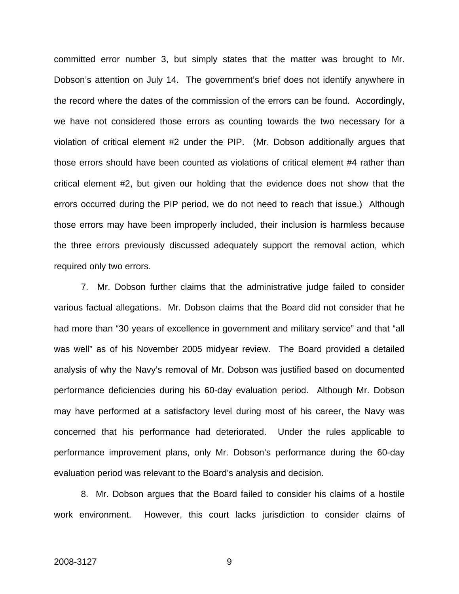committed error number 3, but simply states that the matter was brought to Mr. Dobson's attention on July 14. The government's brief does not identify anywhere in the record where the dates of the commission of the errors can be found. Accordingly, we have not considered those errors as counting towards the two necessary for a violation of critical element #2 under the PIP. (Mr. Dobson additionally argues that those errors should have been counted as violations of critical element #4 rather than critical element #2, but given our holding that the evidence does not show that the errors occurred during the PIP period, we do not need to reach that issue.) Although those errors may have been improperly included, their inclusion is harmless because the three errors previously discussed adequately support the removal action, which required only two errors.

7. Mr. Dobson further claims that the administrative judge failed to consider various factual allegations. Mr. Dobson claims that the Board did not consider that he had more than "30 years of excellence in government and military service" and that "all was well" as of his November 2005 midyear review. The Board provided a detailed analysis of why the Navy's removal of Mr. Dobson was justified based on documented performance deficiencies during his 60-day evaluation period. Although Mr. Dobson may have performed at a satisfactory level during most of his career, the Navy was concerned that his performance had deteriorated. Under the rules applicable to performance improvement plans, only Mr. Dobson's performance during the 60-day evaluation period was relevant to the Board's analysis and decision.

8. Mr. Dobson argues that the Board failed to consider his claims of a hostile work environment. However, this court lacks jurisdiction to consider claims of